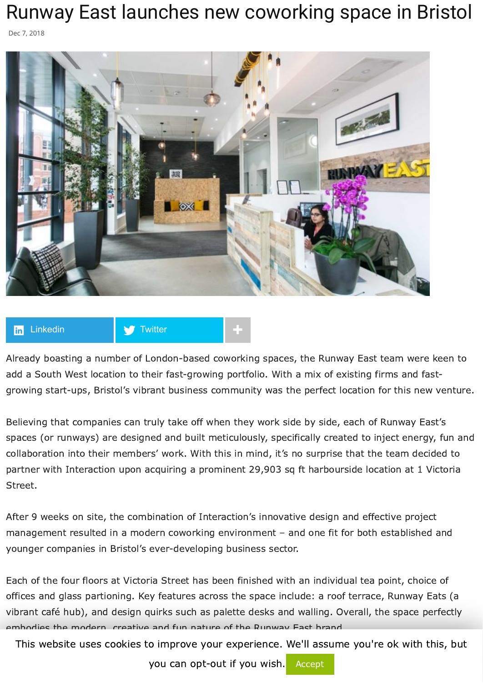## Runway East launches new coworking space in Bristol

Dec 7, 2018





Already boasting a number of London-based coworking spaces, the Runway East team were keen to add a South West location to their fast-growing portfolio. With a mix of existing firms and fastgrowing start-ups, Bristol's vibrant business community was the perfect location for this new venture.

Believing that companies can truly take off when they work side by side, each of Runway East's spaces (or runways) are designed and built meticulously, specifically created to inject energy, fun and collaboration into their members' work. With this in mind, it's no surprise that the team decided to partner with Interaction upon acquiring a prominent 29,903 sq ft harbourside location at 1 Victoria Street.

After 9 weeks on site, the combination of Interaction's innovative design and effective project management resulted in a modern coworking environment – and one fit for both established and younger companies in Bristol's ever-developing business sector.

Each of the four floors at Victoria Street has been finished with an individual tea point, choice of offices and glass partioning. Key features across the space include: a roof terrace, Runway Eats (a vibrant café hub), and design quirks such as palette desks and walling. Overall, the space perfectly embodies the modern, creative and fun nature of the Runway East brand.

This website uses cookies to improve your experience. We'll assume you're ok with this, but

you can opt-out if you wish. Accept